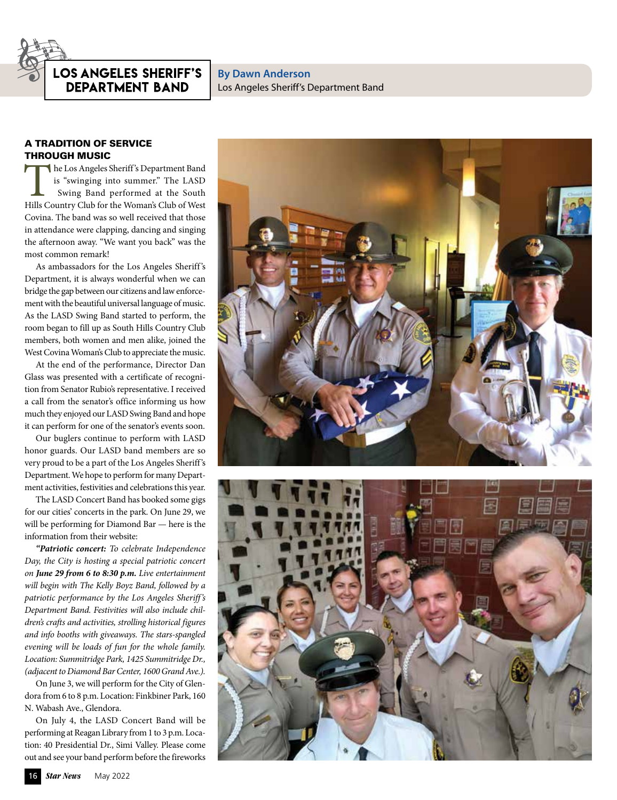## OS ANGELES SHERIFF'S **DEPARTMENT BAND**

**By Dawn Anderson** Los Angeles Sheriff's Department Band

## A TRADITION OF SERVICE THROUGH MUSIC

The Los Angeles Sheriff 's Department Band is "swinging into summer." The LASD Swing Band performed at the South Hills Country Club for the Woman's Club of West Covina. The band was so well received that those in attendance were clapping, dancing and singing the afternoon away. "We want you back" was the most common remark!

As ambassadors for the Los Angeles Sheriff 's Department, it is always wonderful when we can bridge the gap between our citizens and law enforcement with the beautiful universal language of music. As the LASD Swing Band started to perform, the room began to fill up as South Hills Country Club members, both women and men alike, joined the West Covina Woman's Club to appreciate the music.

At the end of the performance, Director Dan Glass was presented with a certificate of recognition from Senator Rubio's representative. I received a call from the senator's office informing us how much they enjoyed our LASD Swing Band and hope it can perform for one of the senator's events soon.

Our buglers continue to perform with LASD honor guards. Our LASD band members are so very proud to be a part of the Los Angeles Sheriff's Department. We hope to perform for many Department activities, festivities and celebrations this year.

The LASD Concert Band has booked some gigs for our cities' concerts in the park. On June 29, we will be performing for Diamond Bar — here is the information from their website:

*"Patriotic concert: To celebrate Independence Day, the City is hosting a special patriotic concert on June 29 from 6 to 8:30 p.m. Live entertainment will begin with The Kelly Boyz Band, followed by a patriotic performance by the Los Angeles Sheriff 's Department Band. Festivities will also include children's crafts and activities, strolling historical figures and info booths with giveaways. The stars-spangled evening will be loads of fun for the whole family. Location: Summitridge Park, 1425 Summitridge Dr., (adjacent to Diamond Bar Center, 1600 Grand Ave.).*

On June 3, we will perform for the City of Glendora from 6 to 8 p.m. Location: Finkbiner Park, 160 N. Wabash Ave., Glendora.

On July 4, the LASD Concert Band will be performing at Reagan Library from 1 to 3 p.m. Location: 40 Presidential Dr., Simi Valley. Please come out and see your band perform before the fireworks



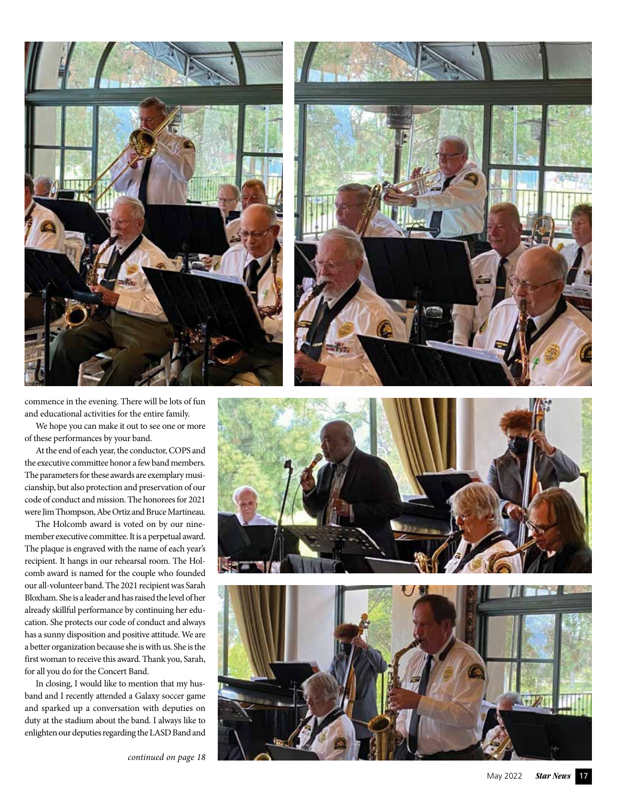



commence in the evening. There will be lots of fun and educational activities for the entire family.

We hope you can make it out to see one or more of these performances by your band.

At the end of each year, the conductor, COPS and the executive committee honor a few band members. The parameters for these awards are exemplary musi cianship, but also protection and preservation of our code of conduct and mission. The honorees for 2021 were Jim Thompson, Abe Ortiz and Bruce Martineau.

The Holcomb award is voted on by our ninemember executive committee. It is a perpetual award. The plaque is engraved with the name of each year's recipient. It hangs in our rehearsal room. The Hol comb award is named for the couple who founded our all-volunteer band. The 2021 recipient was Sarah Bloxham. She is a leader and has raised the level of her already skillful performance by continuing her edu cation. She protects our code of conduct and always has a sunny disposition and positive attitude. We are a better organization because she is with us. She is the first woman to receive this award. Thank you, Sarah, for all you do for the Concert Band.

In closing, I would like to mention that my hus band and I recently attended a Galaxy soccer game and sparked up a conversation with deputies on duty at the stadium about the band. I always like to enlighten our deputies regarding the LASD Band and

*continued on page 18*